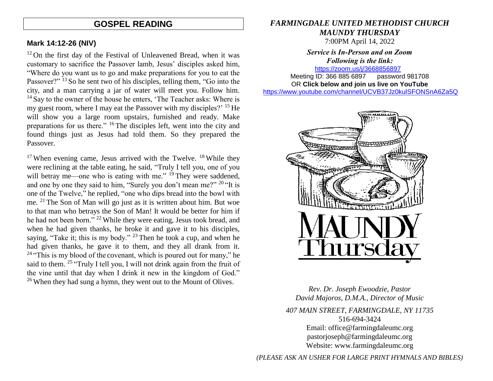## **GOSPEL READING**

#### **Mark 14:12-26 (NIV)**

 $12$  On the first day of the Festival of Unleavened Bread, when it was customary to sacrifice the Passover lamb, Jesus' disciples asked him, "Where do you want us to go and make preparations for you to eat the Passover?" <sup>13</sup> So he sent two of his disciples, telling them, "Go into the city, and a man carrying a jar of water will meet you. Follow him.  $14$  Say to the owner of the house he enters, 'The Teacher asks: Where is my guest room, where I may eat the Passover with my disciples?' <sup>15</sup> He will show you a large room upstairs, furnished and ready. Make preparations for us there." <sup>16</sup> The disciples left, went into the city and found things just as Jesus had told them. So they prepared the Passover.

 $17$  When evening came, Jesus arrived with the Twelve.  $18$  While they were reclining at the table eating, he said, "Truly I tell you, one of you will betray me—one who is eating with me." <sup>19</sup> They were saddened, and one by one they said to him, "Surely you don't mean me?" <sup>20</sup> "It is one of the Twelve," he replied, "one who dips bread into the bowl with me. <sup>21</sup> The Son of Man will go just as it is written about him. But woe to that man who betrays the Son of Man! It would be better for him if he had not been born." <sup>22</sup> While they were eating, Jesus took bread, and when he had given thanks, he broke it and gave it to his disciples, saying, "Take it; this is my body." <sup>23</sup> Then he took a cup, and when he had given thanks, he gave it to them, and they all drank from it. <sup>24</sup> "This is my blood of the covenant, which is poured out for many," he said to them. <sup>25</sup> "Truly I tell you, I will not drink again from the fruit of the vine until that day when I drink it new in the kingdom of God." <sup>26</sup> When they had sung a hymn, they went out to the Mount of Olives.

#### *FARMINGDALE UNITED METHODIST CHURCH MAUNDY THURSDAY* 7:00PM April 14, 2022

*Service is In-Person and on Zoom Following is the link:* <https://zoom.us/j/3668856897>

Meeting ID: 366 885 6897 password 981708 OR **Click below and join us live on YouTube**  [https://www.youtube.com/channel/UCVB37Jz0kulSFONSnA6Za5Q](https://r20.rs6.net/tn.jsp?f=001k6RGPvPFbGGMIcfKWiNR_iQRr6wnePVJO5wPBmTGTUG-6H7Rno-Ccjzncf7RAcA2aCO1usCGiuYYhUDPog8HWc38p-B70aEHKS8a7AZ633unLlDnlsyY1rSZY7DrB1di009D1MFmnX36MQIEkLrC34ZIDpgMTMT95Xsd-rYhXX761Me0QKhAdY1E-Os86l7d&c=&ch=)



*Rev. Dr. Joseph Ewoodzie, Pastor David Majoros, D.M.A., Director of Music 407 MAIN STREET, FARMINGDALE, NY 11735* 516-694-3424 Email: [office@farmingdaleumc.org](mailto:office@farmingdaleumc.org) pastorjoseph@farmingdaleumc.org Website: www.farmingdaleumc.org